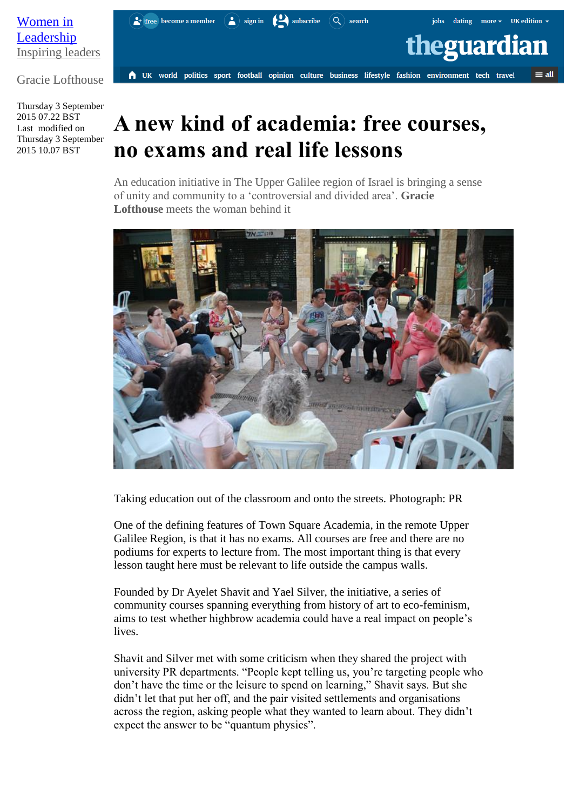

Gracie Lofthouse

Thursday 3 September 2015 07.22 BST Last modified on Thursday 3 September 2015 10.07 BST



## **A new kind of academia: free courses, no exams and real life lessons**

An education initiative in The Upper Galilee region of Israel is bringing a sense of unity and community to a 'controversial and divided area'. **Gracie Lofthouse** meets the woman behind it



Taking education out of the classroom and onto the streets. Photograph: PR

One of the defining features of Town Square Academia, in the remote Upper Galilee Region, is that it has no exams. All courses are free and there are no podiums for experts to lecture from. The most important thing is that every lesson taught here must be relevant to life outside the campus walls.

Founded by Dr Ayelet Shavit and Yael Silver, the initiative, a series of community courses spanning everything from history of art to eco-feminism, aims to test whether highbrow academia could have a real impact on people's lives.

Shavit and Silver met with some criticism when they shared the project with university PR departments. "People kept telling us, you're targeting people who don't have the time or the leisure to spend on learning," Shavit says. But she didn't let that put her off, and the pair visited settlements and organisations across the region, asking people what they wanted to learn about. They didn't expect the answer to be "quantum physics".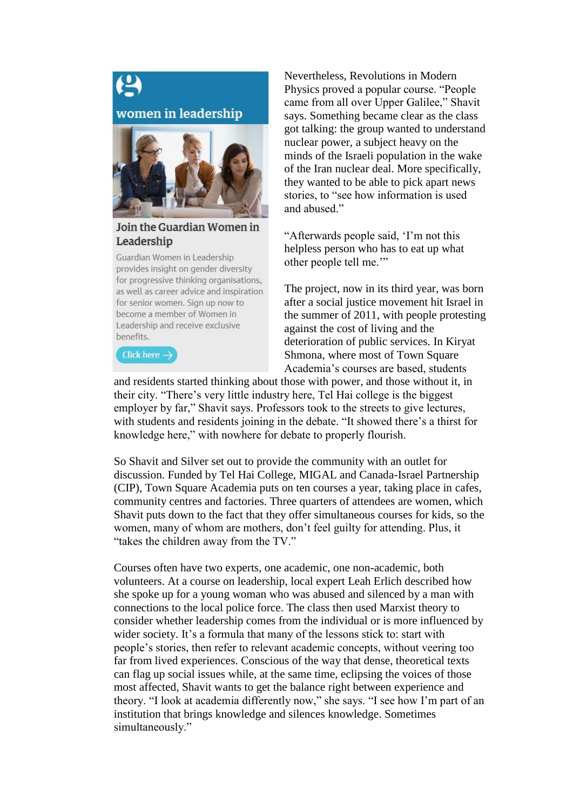

## Join the Guardian Women in Leadership

Guardian Women in Leadership provides insight on gender diversity for progressive thinking organisations, as well as career advice and inspiration for senior women. Sign up now to become a member of Women in Leadership and receive exclusive benefits.

Click here  $\rightarrow$ 

Nevertheless, Revolutions in Modern Physics proved a popular course. "People came from all over Upper Galilee," Shavit says. Something became clear as the class got talking: the group wanted to understand nuclear power, a subject heavy on the minds of the Israeli population in the wake of the Iran nuclear deal. More specifically, they wanted to be able to pick apart news stories, to "see how information is used and abused"

"Afterwards people said, 'I'm not this helpless person who has to eat up what other people tell me.'"

The project, now in its third year, was born after a social justice movement hit Israel in the summer of 2011, with people protesting against the cost of living and the deterioration of public services. In Kiryat Shmona, where most of Town Square Academia's courses are based, students

and residents started thinking about those with power, and those without it, in their city. "There's very little industry here, Tel Hai college is the biggest employer by far," Shavit says. Professors took to the streets to give lectures, with students and residents joining in the debate. "It showed there's a thirst for knowledge here," with nowhere for debate to properly flourish.

So Shavit and Silver set out to provide the community with an outlet for discussion. Funded by Tel Hai College, MIGAL and Canada-Israel Partnership (CIP), Town Square Academia puts on ten courses a year, taking place in cafes, community centres and factories. Three quarters of attendees are women, which Shavit puts down to the fact that they offer simultaneous courses for kids, so the women, many of whom are mothers, don't feel guilty for attending. Plus, it "takes the children away from the TV."

Courses often have two experts, one academic, one non-academic, both volunteers. At a course on leadership, local expert Leah Erlich described how she spoke up for a young woman who was abused and silenced by a man with connections to the local police force. The class then used Marxist theory to consider whether leadership comes from the individual or is more influenced by wider society. It's a formula that many of the lessons stick to: start with people's stories, then refer to relevant academic concepts, without veering too far from lived experiences. Conscious of the way that dense, theoretical texts can flag up social issues while, at the same time, eclipsing the voices of those most affected, Shavit wants to get the balance right between experience and theory. "I look at academia differently now," she says. "I see how I'm part of an institution that brings knowledge and silences knowledge. Sometimes simultaneously."